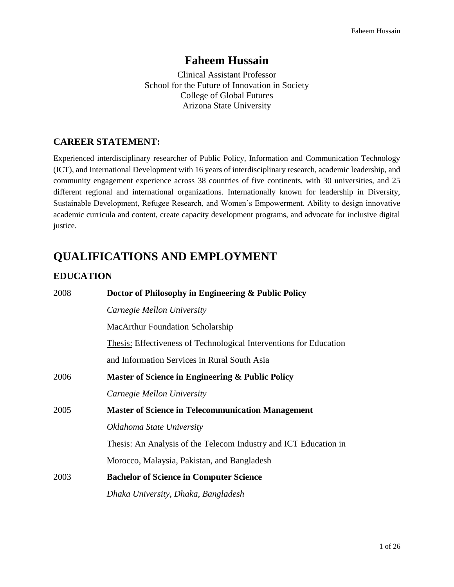# **Faheem Hussain**

Clinical Assistant Professor School for the Future of Innovation in Society College of Global Futures Arizona State University

# **CAREER STATEMENT:**

Experienced interdisciplinary researcher of Public Policy, Information and Communication Technology (ICT), and International Development with 16 years of interdisciplinary research, academic leadership, and community engagement experience across 38 countries of five continents, with 30 universities, and 25 different regional and international organizations. Internationally known for leadership in Diversity, Sustainable Development, Refugee Research, and Women's Empowerment. Ability to design innovative academic curricula and content, create capacity development programs, and advocate for inclusive digital justice.

# **QUALIFICATIONS AND EMPLOYMENT**

# **EDUCATION**

| 2008 | Doctor of Philosophy in Engineering & Public Policy                       |
|------|---------------------------------------------------------------------------|
|      | Carnegie Mellon University                                                |
|      | <b>MacArthur Foundation Scholarship</b>                                   |
|      | <b>Thesis:</b> Effectiveness of Technological Interventions for Education |
|      | and Information Services in Rural South Asia                              |
| 2006 | Master of Science in Engineering & Public Policy                          |
|      | Carnegie Mellon University                                                |
| 2005 | <b>Master of Science in Telecommunication Management</b>                  |
|      | Oklahoma State University                                                 |
|      | Thesis: An Analysis of the Telecom Industry and ICT Education in          |
|      | Morocco, Malaysia, Pakistan, and Bangladesh                               |
| 2003 | <b>Bachelor of Science in Computer Science</b>                            |
|      | Dhaka University, Dhaka, Bangladesh                                       |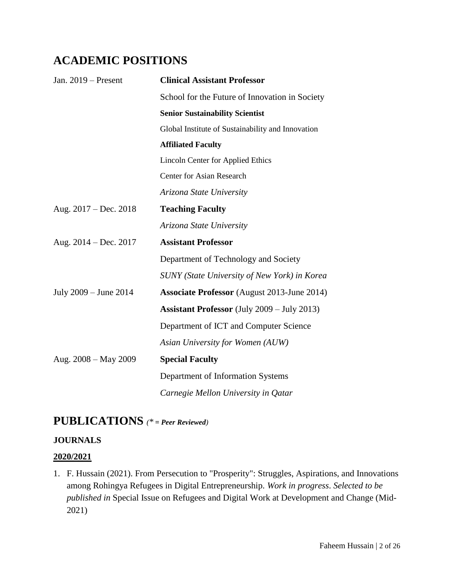# **ACADEMIC POSITIONS**

| Jan. $2019$ – Present     | <b>Clinical Assistant Professor</b>                |
|---------------------------|----------------------------------------------------|
|                           | School for the Future of Innovation in Society     |
|                           | <b>Senior Sustainability Scientist</b>             |
|                           | Global Institute of Sustainability and Innovation  |
|                           | <b>Affiliated Faculty</b>                          |
|                           | <b>Lincoln Center for Applied Ethics</b>           |
|                           | <b>Center for Asian Research</b>                   |
|                           | Arizona State University                           |
| Aug. $2017 - Dec. 2018$   | <b>Teaching Faculty</b>                            |
|                           | Arizona State University                           |
| Aug. $2014 - Dec. 2017$   | <b>Assistant Professor</b>                         |
|                           | Department of Technology and Society               |
|                           | SUNY (State University of New York) in Korea       |
| July $2009 -$ June $2014$ | <b>Associate Professor</b> (August 2013-June 2014) |
|                           | <b>Assistant Professor</b> (July 2009 – July 2013) |
|                           | Department of ICT and Computer Science             |
|                           | Asian University for Women (AUW)                   |
| Aug. $2008 - May 2009$    | <b>Special Faculty</b>                             |
|                           | Department of Information Systems                  |
|                           | Carnegie Mellon University in Qatar                |

# **PUBLICATIONS** *(\* = Peer Reviewed)*

# **JOURNALS**

### **2020/2021**

1. F. Hussain (2021). From Persecution to "Prosperity": Struggles, Aspirations, and Innovations among Rohingya Refugees in Digital Entrepreneurship. *Work in progress*. *Selected to be published in* Special Issue on Refugees and Digital Work at Development and Change (Mid-2021)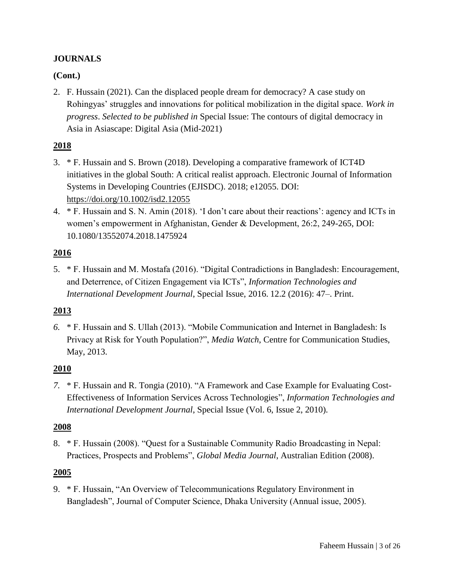## **JOURNALS**

## **(Cont.)**

2. F. Hussain (2021). Can the displaced people dream for democracy? A case study on Rohingyas' struggles and innovations for political mobilization in the digital space. *Work in progress*. *Selected to be published in* Special Issue: The contours of digital democracy in Asia in Asiascape: Digital Asia (Mid-2021)

### **2018**

- 3. \* F. Hussain and S. Brown (2018). Developing a comparative framework of ICT4D initiatives in the global South: A critical realist approach. Electronic Journal of Information Systems in Developing Countries (EJISDC). 2018; e12055. DOI: <https://doi.org/10.1002/isd2.12055>
- 4. \* F. Hussain and S. N. Amin (2018). 'I don't care about their reactions': agency and ICTs in women's empowerment in Afghanistan, Gender & Development, 26:2, 249-265, DOI: 10.1080/13552074.2018.1475924

## **2016**

5. \* F. Hussain and M. Mostafa (2016). "Digital Contradictions in Bangladesh: Encouragement, and Deterrence, of Citizen Engagement via ICTs", *Information Technologies and International Development Journal*, Special Issue, 2016. 12.2 (2016): 47–. Print.

# **2013**

*6.* \* F. Hussain and S. Ullah (2013). "Mobile Communication and Internet in Bangladesh: Is Privacy at Risk for Youth Population?", *Media Watch*, Centre for Communication Studies, May, 2013.

### **2010**

*7.* \* F. Hussain and R. Tongia (2010). "A Framework and Case Example for Evaluating Cost-Effectiveness of Information Services Across Technologies", *Information Technologies and International Development Journal*, Special Issue (Vol. 6, Issue 2, 2010).

### **2008**

8. \* F. Hussain (2008). "Quest for a Sustainable Community Radio Broadcasting in Nepal: Practices, Prospects and Problems", *Global Media Journal*, Australian Edition (2008).

### **2005**

9. \* F. Hussain, "An Overview of Telecommunications Regulatory Environment in Bangladesh", Journal of Computer Science, Dhaka University (Annual issue, 2005).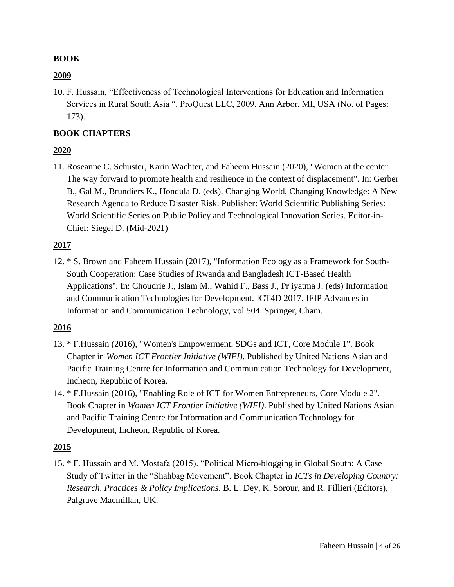#### **BOOK**

#### **2009**

10. F. Hussain, "Effectiveness of Technological Interventions for Education and Information Services in Rural South Asia ". ProQuest LLC, 2009, Ann Arbor, MI, USA (No. of Pages: 173).

#### **BOOK CHAPTERS**

### **2020**

11. Roseanne C. Schuster, Karin Wachter, and Faheem Hussain (2020), "Women at the center: The way forward to promote health and resilience in the context of displacement". In: Gerber B., Gal M., Brundiers K., Hondula D. (eds). Changing World, Changing Knowledge: A New Research Agenda to Reduce Disaster Risk. Publisher: World Scientific Publishing Series: World Scientific Series on Public Policy and Technological Innovation Series. Editor-in-Chief: Siegel D. (Mid-2021)

### **2017**

12. \* S. Brown and Faheem Hussain (2017), "Information Ecology as a Framework for South-South Cooperation: Case Studies of Rwanda and Bangladesh ICT-Based Health Applications". In: Choudrie J., Islam M., Wahid F., Bass J., Pr iyatma J. (eds) Information and Communication Technologies for Development. ICT4D 2017. IFIP Advances in Information and Communication Technology, vol 504. Springer, Cham.

### **2016**

- 13. \* F.Hussain (2016), "Women's Empowerment, SDGs and ICT, Core Module 1". Book Chapter in *Women ICT Frontier Initiative (WIFI)*. Published by United Nations Asian and Pacific Training Centre for Information and Communication Technology for Development, Incheon, Republic of Korea.
- 14. \* F.Hussain (2016), "Enabling Role of ICT for Women Entrepreneurs, Core Module 2". Book Chapter in *Women ICT Frontier Initiative (WIFI)*. Published by United Nations Asian and Pacific Training Centre for Information and Communication Technology for Development, Incheon, Republic of Korea.

#### **2015**

15. \* F. Hussain and M. Mostafa (2015). "Political Micro-blogging in Global South: A Case Study of Twitter in the "Shahbag Movement". Book Chapter in *ICTs in Developing Country: Research, Practices & Policy Implications*. B. L. Dey, K. Sorour, and R. Fillieri (Editors), Palgrave Macmillan, UK.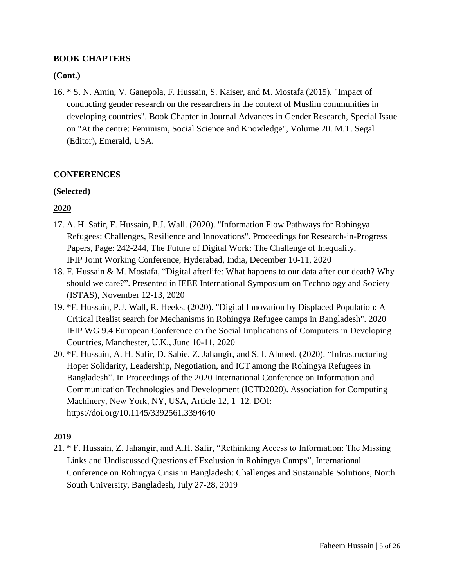### **BOOK CHAPTERS**

## **(Cont.)**

16. \* S. N. Amin, V. Ganepola, F. Hussain, S. Kaiser, and M. Mostafa (2015). "Impact of conducting gender research on the researchers in the context of Muslim communities in developing countries". Book Chapter in Journal Advances in Gender Research, Special Issue on "At the centre: Feminism, Social Science and Knowledge", Volume 20. M.T. Segal (Editor), Emerald, USA.

### **CONFERENCES**

### **(Selected)**

# **2020**

- 17. A. H. Safir, F. Hussain, P.J. Wall. (2020). "Information Flow Pathways for Rohingya Refugees: Challenges, Resilience and Innovations". Proceedings for Research-in-Progress Papers, Page: 242-244, The Future of Digital Work: The Challenge of Inequality, IFIP Joint Working Conference, Hyderabad, India, December 10-11, 2020
- 18. F. Hussain & M. Mostafa, "Digital afterlife: What happens to our data after our death? Why should we care?". Presented in IEEE International Symposium on Technology and Society (ISTAS), November 12-13, 2020
- 19. \*F. Hussain, P.J. Wall, R. Heeks. (2020). "Digital Innovation by Displaced Population: A Critical Realist search for Mechanisms in Rohingya Refugee camps in Bangladesh". 2020 IFIP WG 9.4 European Conference on the Social Implications of Computers in Developing Countries, Manchester, U.K., June 10-11, 2020
- 20. \*F. Hussain, A. H. Safir, D. Sabie, Z. Jahangir, and S. I. Ahmed. (2020). "Infrastructuring Hope: Solidarity, Leadership, Negotiation, and ICT among the Rohingya Refugees in Bangladesh". In Proceedings of the 2020 International Conference on Information and Communication Technologies and Development (ICTD2020). Association for Computing Machinery, New York, NY, USA, Article 12, 1–12. DOI: https://doi.org/10.1145/3392561.3394640

# **2019**

21. \* F. Hussain, Z. Jahangir, and A.H. Safir, "Rethinking Access to Information: The Missing Links and Undiscussed Questions of Exclusion in Rohingya Camps", International Conference on Rohingya Crisis in Bangladesh: Challenges and Sustainable Solutions, North South University, Bangladesh, July 27-28, 2019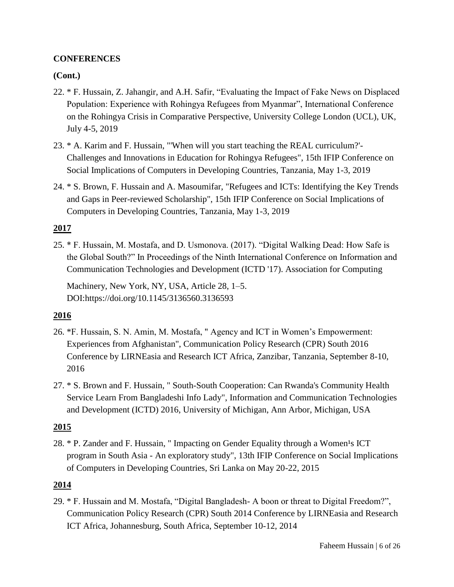### **CONFERENCES**

#### **(Cont.)**

- 22. \* F. Hussain, Z. Jahangir, and A.H. Safir, "Evaluating the Impact of Fake News on Displaced Population: Experience with Rohingya Refugees from Myanmar", International Conference on the Rohingya Crisis in Comparative Perspective, University College London (UCL), UK, July 4-5, 2019
- 23. \* A. Karim and F. Hussain, "'When will you start teaching the REAL curriculum?'- Challenges and Innovations in Education for Rohingya Refugees", 15th IFIP Conference on Social Implications of Computers in Developing Countries, Tanzania, May 1-3, 2019
- 24. \* S. Brown, F. Hussain and A. Masoumifar, "Refugees and ICTs: Identifying the Key Trends and Gaps in Peer-reviewed Scholarship", 15th IFIP Conference on Social Implications of Computers in Developing Countries, Tanzania, May 1-3, 2019

#### **2017**

25. \* F. Hussain, M. Mostafa, and D. Usmonova. (2017). "Digital Walking Dead: How Safe is the Global South?" In Proceedings of the Ninth International Conference on Information and Communication Technologies and Development (ICTD '17). Association for Computing

Machinery, New York, NY, USA, Article 28, 1–5. DOI:https://doi.org/10.1145/3136560.3136593

#### **2016**

- 26. \*F. Hussain, S. N. Amin, M. Mostafa, " Agency and ICT in Women's Empowerment: Experiences from Afghanistan", Communication Policy Research (CPR) South 2016 Conference by LIRNEasia and Research ICT Africa, Zanzibar, Tanzania, September 8-10, 2016
- 27. \* S. Brown and F. Hussain, " South-South Cooperation: Can Rwanda's Community Health Service Learn From Bangladeshi Info Lady", Information and Communication Technologies and Development (ICTD) 2016, University of Michigan, Ann Arbor, Michigan, USA

#### **2015**

28. \* P. Zander and F. Hussain, " Impacting on Gender Equality through a Women<sup>1</sup>s ICT program in South Asia - An exploratory study", 13th IFIP Conference on Social Implications of Computers in Developing Countries, Sri Lanka on May 20-22, 2015

#### **2014**

29. \* F. Hussain and M. Mostafa, "Digital Bangladesh- A boon or threat to Digital Freedom?", Communication Policy Research (CPR) South 2014 Conference by LIRNEasia and Research ICT Africa, Johannesburg, South Africa, September 10-12, 2014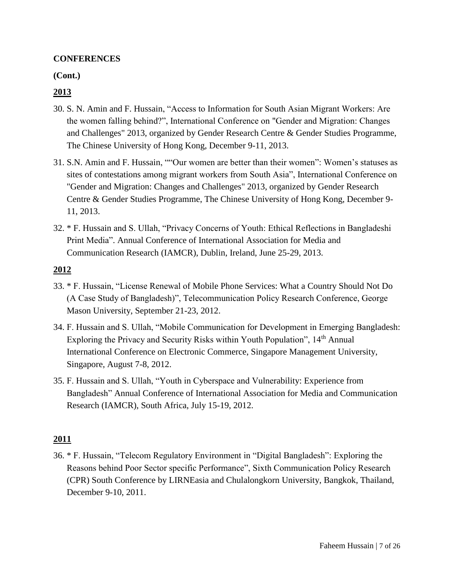#### **CONFERENCES**

#### **(Cont.)**

## **2013**

- 30. S. N. Amin and F. Hussain, "Access to Information for South Asian Migrant Workers: Are the women falling behind?", International Conference on "Gender and Migration: Changes and Challenges" 2013, organized by Gender Research Centre & Gender Studies Programme, The Chinese University of Hong Kong, December 9-11, 2013.
- 31. S.N. Amin and F. Hussain, ""Our women are better than their women": Women's statuses as sites of contestations among migrant workers from South Asia", International Conference on "Gender and Migration: Changes and Challenges" 2013, organized by Gender Research Centre & Gender Studies Programme, The Chinese University of Hong Kong, December 9- 11, 2013.
- 32. \* F. Hussain and S. Ullah, "Privacy Concerns of Youth: Ethical Reflections in Bangladeshi Print Media". Annual Conference of International Association for Media and Communication Research (IAMCR), Dublin, Ireland, June 25-29, 2013.

### **2012**

- 33. \* F. Hussain, "License Renewal of Mobile Phone Services: What a Country Should Not Do (A Case Study of Bangladesh)", Telecommunication Policy Research Conference, George Mason University, September 21-23, 2012.
- 34. F. Hussain and S. Ullah, "Mobile Communication for Development in Emerging Bangladesh: Exploring the Privacy and Security Risks within Youth Population", 14<sup>th</sup> Annual International Conference on Electronic Commerce, Singapore Management University, Singapore, August 7-8, 2012.
- 35. F. Hussain and S. Ullah, "Youth in Cyberspace and Vulnerability: Experience from Bangladesh" Annual Conference of International Association for Media and Communication Research (IAMCR), South Africa, July 15-19, 2012.

### **2011**

36. \* F. Hussain, "Telecom Regulatory Environment in "Digital Bangladesh": Exploring the Reasons behind Poor Sector specific Performance", Sixth Communication Policy Research (CPR) South Conference by LIRNEasia and Chulalongkorn University, Bangkok, Thailand, December 9-10, 2011.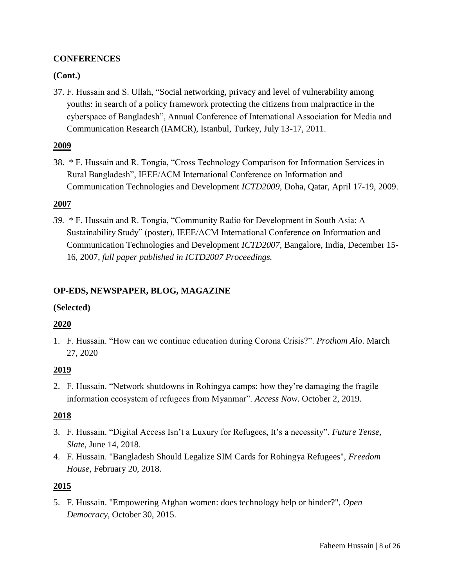### **CONFERENCES**

### **(Cont.)**

37. F. Hussain and S. Ullah, "Social networking, privacy and level of vulnerability among youths: in search of a policy framework protecting the citizens from malpractice in the cyberspace of Bangladesh", Annual Conference of International Association for Media and Communication Research (IAMCR), Istanbul, Turkey, July 13-17, 2011.

### **2009**

38. \* F. Hussain and R. Tongia, "Cross Technology Comparison for Information Services in Rural Bangladesh", IEEE/ACM International Conference on Information and Communication Technologies and Development *ICTD2009*, Doha, Qatar, April 17-19, 2009.

## **2007**

*39.* \* F. Hussain and R. Tongia, "Community Radio for Development in South Asia: A Sustainability Study" (poster), IEEE/ACM International Conference on Information and Communication Technologies and Development *ICTD2007*, Bangalore, India, December 15- 16, 2007, *full paper published in ICTD2007 Proceedings.*

### **OP-EDS, NEWSPAPER, BLOG, MAGAZINE**

### **(Selected)**

### **2020**

1. F. Hussain. "How can we continue education during Corona Crisis?". *Prothom Alo*. March 27, 2020

### **2019**

2. F. Hussain. "Network shutdowns in Rohingya camps: how they're damaging the fragile information ecosystem of refugees from Myanmar". *Access Now*. October 2, 2019.

### **2018**

- 3. F. Hussain. "Digital Access Isn't a Luxury for Refugees, It's a necessity". *Future Tense, Slate*, June 14, 2018.
- 4. F. Hussain. "Bangladesh Should Legalize SIM Cards for Rohingya Refugees", *Freedom House*, February 20, 2018.

### **2015**

5. F. Hussain. "Empowering Afghan women: does technology help or hinder?", *Open Democracy*, October 30, 2015.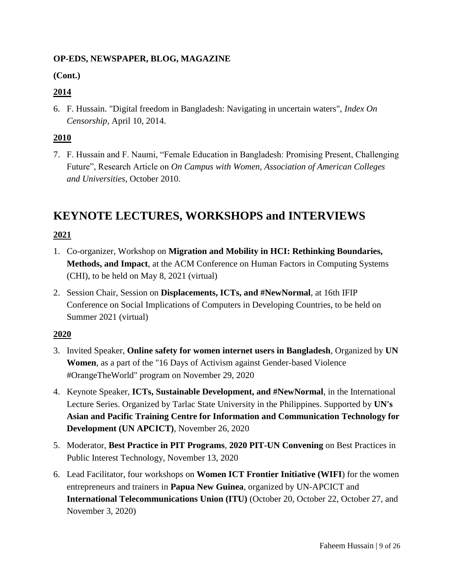## **OP-EDS, NEWSPAPER, BLOG, MAGAZINE**

# **(Cont.)**

# **2014**

6. F. Hussain. "Digital freedom in Bangladesh: Navigating in uncertain waters", *Index On Censorship*, April 10, 2014.

# **2010**

7. F. Hussain and F. Naumi, "Female Education in Bangladesh: Promising Present, Challenging Future", Research Article on *On Campus with Women, Association of American Colleges and Universities*, October 2010.

# **KEYNOTE LECTURES, WORKSHOPS and INTERVIEWS**

# **2021**

- 1. Co-organizer, Workshop on **Migration and Mobility in HCI: Rethinking Boundaries, Methods, and Impact**, at the ACM Conference on Human Factors in Computing Systems (CHI), to be held on May 8, 2021 (virtual)
- 2. Session Chair, Session on **Displacements, ICTs, and #NewNormal**, at 16th IFIP Conference on Social Implications of Computers in Developing Countries, to be held on Summer 2021 (virtual)

# **2020**

- 3. Invited Speaker, **Online safety for women internet users in Bangladesh**, Organized by **UN Women**, as a part of the "16 Days of Activism against Gender-based Violence #OrangeTheWorld" program on November 29, 2020
- 4. Keynote Speaker, **ICTs, Sustainable Development, and #NewNormal**, in the International Lecture Series. Organized by Tarlac State University in the Philippines. Supported by **UN's Asian and Pacific Training Centre for Information and Communication Technology for Development (UN APCICT)**, November 26, 2020
- 5. Moderator, **Best Practice in PIT Programs**, **2020 PIT-UN Convening** on Best Practices in Public Interest Technology, November 13, 2020
- 6. Lead Facilitator, four workshops on **Women ICT Frontier Initiative (WIFI**) for the women entrepreneurs and trainers in **Papua New Guinea**, organized by UN-APCICT and **International Telecommunications Union (ITU)** (October 20, October 22, October 27, and November 3, 2020)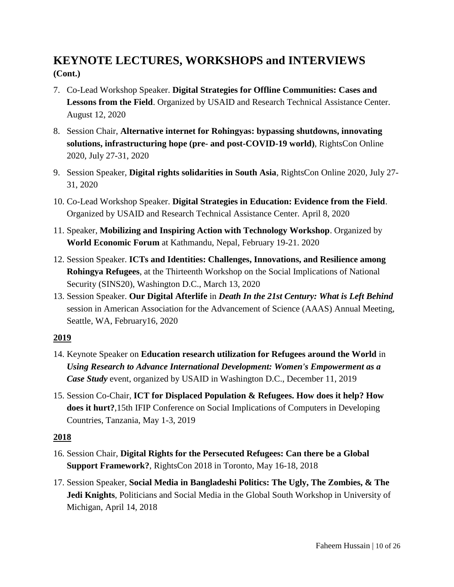# **KEYNOTE LECTURES, WORKSHOPS and INTERVIEWS (Cont.)**

- 7. Co-Lead Workshop Speaker. **Digital Strategies for Offline Communities: Cases and Lessons from the Field**. Organized by USAID and Research Technical Assistance Center. August 12, 2020
- 8. Session Chair, **Alternative internet for Rohingyas: bypassing shutdowns, innovating solutions, infrastructuring hope (pre- and post-COVID-19 world)**, RightsCon Online 2020, July 27-31, 2020
- 9. Session Speaker, **Digital rights solidarities in South Asia**, RightsCon Online 2020, July 27- 31, 2020
- 10. Co-Lead Workshop Speaker. **Digital Strategies in Education: Evidence from the Field**. Organized by USAID and Research Technical Assistance Center. April 8, 2020
- 11. Speaker, **Mobilizing and Inspiring Action with Technology Workshop**. Organized by **World Economic Forum** at Kathmandu, Nepal, February 19-21. 2020
- 12. Session Speaker. **ICTs and Identities: Challenges, Innovations, and Resilience among Rohingya Refugees**, at the Thirteenth Workshop on the Social Implications of National Security (SINS20), Washington D.C., March 13, 2020
- 13. Session Speaker. **Our Digital Afterlife** in *Death In the 21st Century: What is Left Behind* session in American Association for the Advancement of Science (AAAS) Annual Meeting, Seattle, WA, February16, 2020

### **2019**

- 14. Keynote Speaker on **Education research utilization for Refugees around the World** in *Using Research to Advance International Development: Women's Empowerment as a Case Study* event, organized by USAID in Washington D.C., December 11, 2019
- 15. Session Co-Chair, **ICT for Displaced Population & Refugees. How does it help? How does it hurt?**,15th IFIP Conference on Social Implications of Computers in Developing Countries, Tanzania, May 1-3, 2019

# **2018**

- 16. Session Chair, **Digital Rights for the Persecuted Refugees: Can there be a Global Support Framework?**, RightsCon 2018 in Toronto, May 16-18, 2018
- 17. Session Speaker, **Social Media in Bangladeshi Politics: The Ugly, The Zombies, & The Jedi Knights**, Politicians and Social Media in the Global South Workshop in University of Michigan, April 14, 2018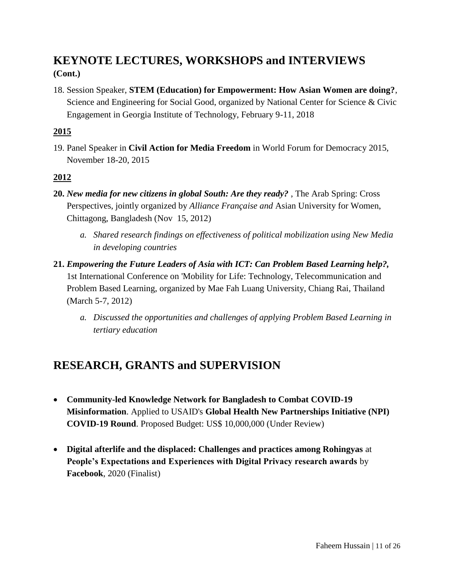# **KEYNOTE LECTURES, WORKSHOPS and INTERVIEWS (Cont.)**

18. Session Speaker, **STEM (Education) for Empowerment: How Asian Women are doing?**, Science and Engineering for Social Good, organized by National Center for Science & Civic Engagement in Georgia Institute of Technology, February 9-11, 2018

## **2015**

19. Panel Speaker in **Civil Action for Media Freedom** in World Forum for Democracy 2015, November 18-20, 2015

## **2012**

- **20.** *New media for new citizens in global South: Are they ready?* , The Arab Spring: Cross Perspectives, jointly organized by *Alliance Française and* Asian University for Women, Chittagong, Bangladesh (Nov 15, 2012)
	- *a. Shared research findings on effectiveness of political mobilization using New Media in developing countries*
- **21.** *Empowering the Future Leaders of Asia with ICT: Can Problem Based Learning help?,* 1st International Conference on 'Mobility for Life: Technology, Telecommunication and Problem Based Learning, organized by Mae Fah Luang University, Chiang Rai, Thailand (March 5-7, 2012)
	- *a. Discussed the opportunities and challenges of applying Problem Based Learning in tertiary education*

# **RESEARCH, GRANTS and SUPERVISION**

- **Community-led Knowledge Network for Bangladesh to Combat COVID-19 Misinformation**. Applied to USAID's **Global Health New Partnerships Initiative (NPI) COVID-19 Round**. Proposed Budget: US\$ 10,000,000 (Under Review)
- **Digital afterlife and the displaced: Challenges and practices among Rohingyas** at **People's Expectations and Experiences with Digital Privacy research awards** by **Facebook**, 2020 (Finalist)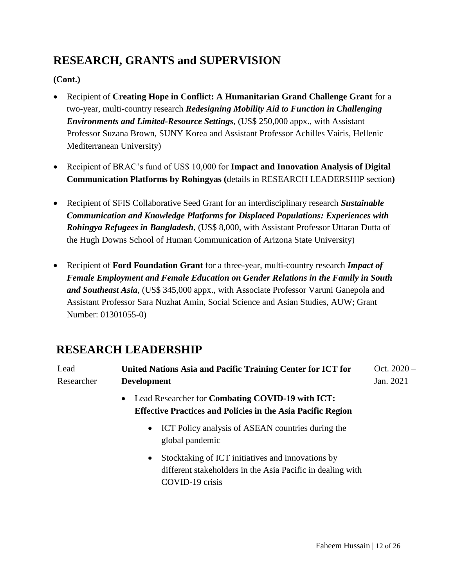# **RESEARCH, GRANTS and SUPERVISION**

## **(Cont.)**

- Recipient of **Creating Hope in Conflict: A Humanitarian Grand Challenge Grant** for a two-year, multi-country research *Redesigning Mobility Aid to Function in Challenging Environments and Limited-Resource Settings*, (US\$ 250,000 appx., with Assistant Professor Suzana Brown, SUNY Korea and Assistant Professor Achilles Vairis, Hellenic Mediterranean University)
- Recipient of BRAC's fund of US\$ 10,000 for **Impact and Innovation Analysis of Digital Communication Platforms by Rohingyas (**details in RESEARCH LEADERSHIP section**)**
- Recipient of SFIS Collaborative Seed Grant for an interdisciplinary research *Sustainable Communication and Knowledge Platforms for Displaced Populations: Experiences with Rohingya Refugees in Bangladesh*, (US\$ 8,000, with Assistant Professor Uttaran Dutta of the Hugh Downs School of Human Communication of Arizona State University)
- Recipient of **Ford Foundation Grant** for a three-year, multi-country research *Impact of Female Employment and Female Education on Gender Relations in the Family in South and Southeast Asia*, (US\$ 345,000 appx., with Associate Professor Varuni Ganepola and Assistant Professor Sara Nuzhat Amin, Social Science and Asian Studies, AUW; Grant Number: 01301055-0)

# **RESEARCH LEADERSHIP**

| Lead       | United Nations Asia and Pacific Training Center for ICT for        | Oct. $2020 -$ |
|------------|--------------------------------------------------------------------|---------------|
| Researcher | <b>Development</b>                                                 | Jan. 2021     |
|            | • Lead Researcher for Combating COVID-19 with ICT:                 |               |
|            | <b>Effective Practices and Policies in the Asia Pacific Region</b> |               |
|            |                                                                    |               |

- ICT Policy analysis of ASEAN countries during the global pandemic
- Stocktaking of ICT initiatives and innovations by different stakeholders in the Asia Pacific in dealing with COVID-19 crisis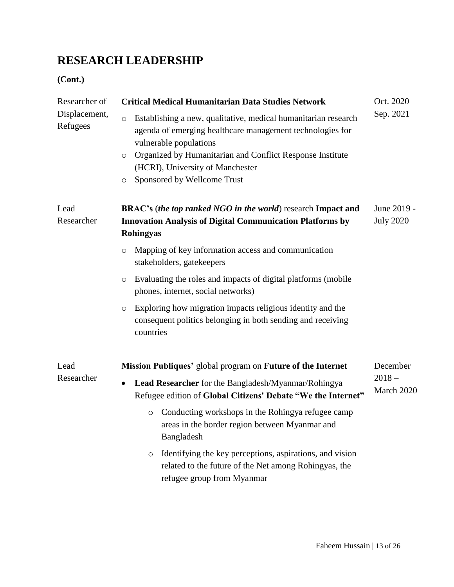# **RESEARCH LEADERSHIP**

| Researcher of                        | <b>Critical Medical Humanitarian Data Studies Network</b>                                                                                                  | Oct. 2020 -            |
|--------------------------------------|------------------------------------------------------------------------------------------------------------------------------------------------------------|------------------------|
| Displacement,<br>$\circ$<br>Refugees | Establishing a new, qualitative, medical humanitarian research<br>agenda of emerging healthcare management technologies for<br>vulnerable populations      | Sep. 2021              |
| $\circ$                              | Organized by Humanitarian and Conflict Response Institute<br>(HCRI), University of Manchester                                                              |                        |
| O                                    | Sponsored by Wellcome Trust                                                                                                                                |                        |
| Lead                                 | BRAC's (the top ranked NGO in the world) research Impact and                                                                                               | June 2019 -            |
| Researcher                           | <b>Innovation Analysis of Digital Communication Platforms by</b><br><b>Rohingyas</b>                                                                       | <b>July 2020</b>       |
| $\circ$                              | Mapping of key information access and communication<br>stakeholders, gatekeepers                                                                           |                        |
| $\circ$                              | Evaluating the roles and impacts of digital platforms (mobile<br>phones, internet, social networks)                                                        |                        |
| $\circ$                              | Exploring how migration impacts religious identity and the<br>consequent politics belonging in both sending and receiving<br>countries                     |                        |
| Lead                                 | Mission Publiques' global program on Future of the Internet                                                                                                | December               |
| Researcher<br>$\bullet$              | Lead Researcher for the Bangladesh/Myanmar/Rohingya<br>Refugee edition of Global Citizens' Debate "We the Internet"                                        | $2018 -$<br>March 2020 |
|                                      | Conducting workshops in the Rohingya refugee camp<br>$\circ$<br>areas in the border region between Myanmar and<br>Bangladesh                               |                        |
|                                      | Identifying the key perceptions, aspirations, and vision<br>$\circ$<br>related to the future of the Net among Rohingyas, the<br>refugee group from Myanmar |                        |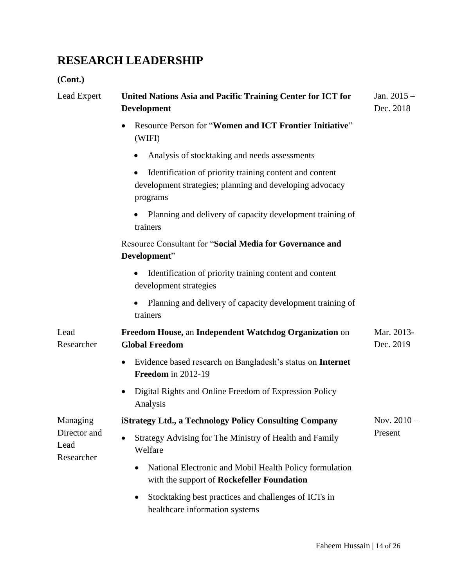# **RESEARCH LEADERSHIP**

| Lead Expert                        | United Nations Asia and Pacific Training Center for ICT for<br><b>Development</b>                                               | Jan. $2015 -$<br>Dec. 2018 |
|------------------------------------|---------------------------------------------------------------------------------------------------------------------------------|----------------------------|
|                                    | Resource Person for "Women and ICT Frontier Initiative"<br>(WIFI)                                                               |                            |
|                                    | Analysis of stocktaking and needs assessments<br>٠                                                                              |                            |
|                                    | Identification of priority training content and content<br>development strategies; planning and developing advocacy<br>programs |                            |
|                                    | Planning and delivery of capacity development training of<br>trainers                                                           |                            |
|                                    | Resource Consultant for "Social Media for Governance and<br>Development"                                                        |                            |
|                                    | Identification of priority training content and content<br>development strategies                                               |                            |
|                                    | Planning and delivery of capacity development training of<br>trainers                                                           |                            |
| Lead<br>Researcher                 | Freedom House, an Independent Watchdog Organization on<br><b>Global Freedom</b>                                                 | Mar. 2013-<br>Dec. 2019    |
|                                    | Evidence based research on Bangladesh's status on Internet<br>Freedom in 2012-19                                                |                            |
|                                    | Digital Rights and Online Freedom of Expression Policy<br>٠<br>Analysis                                                         |                            |
| Managing                           | iStrategy Ltd., a Technology Policy Consulting Company                                                                          | Nov. $2010 -$              |
| Director and<br>Lead<br>Researcher | Strategy Advising for The Ministry of Health and Family<br>Welfare                                                              | Present                    |
|                                    | National Electronic and Mobil Health Policy formulation<br>$\bullet$<br>with the support of Rockefeller Foundation              |                            |
|                                    | Stocktaking best practices and challenges of ICTs in<br>$\bullet$<br>healthcare information systems                             |                            |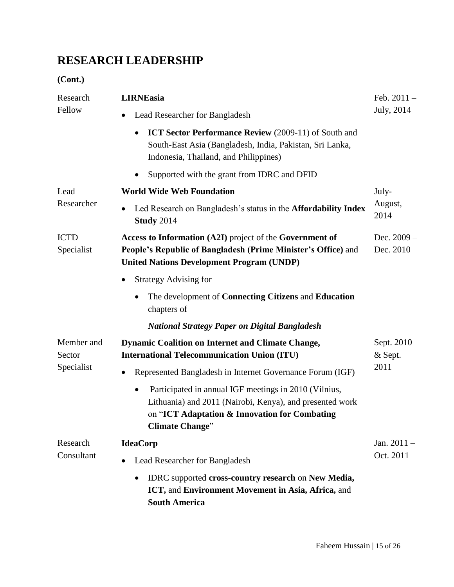# **RESEARCH LEADERSHIP**

| Research<br>Fellow                 | <b>LIRNEasia</b>                                                                                                                                                                                          | Feb. $2011 -$                 |  |
|------------------------------------|-----------------------------------------------------------------------------------------------------------------------------------------------------------------------------------------------------------|-------------------------------|--|
|                                    | Lead Researcher for Bangladesh                                                                                                                                                                            | July, 2014                    |  |
|                                    | <b>ICT Sector Performance Review</b> (2009-11) of South and<br>$\bullet$<br>South-East Asia (Bangladesh, India, Pakistan, Sri Lanka,<br>Indonesia, Thailand, and Philippines)                             |                               |  |
|                                    | Supported with the grant from IDRC and DFID                                                                                                                                                               |                               |  |
| Lead<br>Researcher                 | <b>World Wide Web Foundation</b>                                                                                                                                                                          | July-                         |  |
|                                    | Led Research on Bangladesh's status in the <b>Affordability Index</b><br>$\bullet$<br><b>Study 2014</b>                                                                                                   | August,<br>2014               |  |
| <b>ICTD</b><br>Specialist          | Access to Information (A2I) project of the Government of<br>People's Republic of Bangladesh (Prime Minister's Office) and<br><b>United Nations Development Program (UNDP)</b>                             | Dec. $2009 -$<br>Dec. 2010    |  |
|                                    | <b>Strategy Advising for</b>                                                                                                                                                                              |                               |  |
|                                    | The development of <b>Connecting Citizens</b> and <b>Education</b><br>$\bullet$<br>chapters of                                                                                                            |                               |  |
|                                    | <b>National Strategy Paper on Digital Bangladesh</b>                                                                                                                                                      |                               |  |
| Member and<br>Sector<br>Specialist | <b>Dynamic Coalition on Internet and Climate Change,</b><br><b>International Telecommunication Union (ITU)</b>                                                                                            | Sept. 2010<br>& Sept.<br>2011 |  |
|                                    | Represented Bangladesh in Internet Governance Forum (IGF)                                                                                                                                                 |                               |  |
|                                    | Participated in annual IGF meetings in 2010 (Vilnius,<br>$\bullet$<br>Lithuania) and 2011 (Nairobi, Kenya), and presented work<br>on "ICT Adaptation & Innovation for Combating<br><b>Climate Change"</b> |                               |  |
| Research                           | <b>IdeaCorp</b>                                                                                                                                                                                           | Jan. $2011 -$                 |  |
| Consultant                         | Lead Researcher for Bangladesh                                                                                                                                                                            | Oct. 2011                     |  |
|                                    | IDRC supported cross-country research on New Media,<br>$\bullet$<br>ICT, and Environment Movement in Asia, Africa, and<br><b>South America</b>                                                            |                               |  |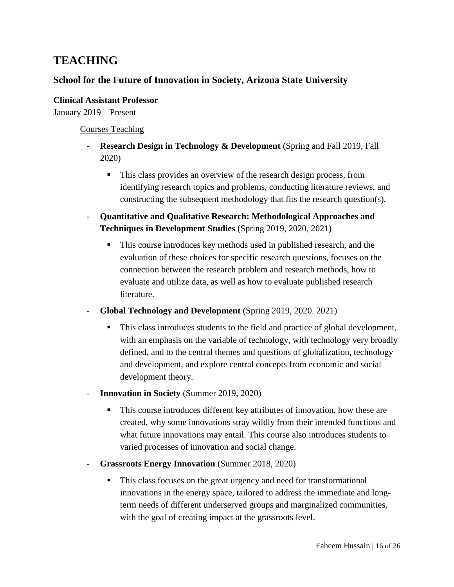# **School for the Future of Innovation in Society, Arizona State University**

**Clinical Assistant Professor**  January 2019 – Present

Courses Teaching

- **Research Design in Technology & Development** (Spring and Fall 2019, Fall 2020)
	- This class provides an overview of the research design process, from identifying research topics and problems, conducting literature reviews, and constructing the subsequent methodology that fits the research question(s).
- **Quantitative and Qualitative Research: Methodological Approaches and Techniques in Development Studies** (Spring 2019, 2020, 2021)
	- This course introduces key methods used in published research, and the evaluation of these choices for specific research questions, focuses on the connection between the research problem and research methods, how to evaluate and utilize data, as well as how to evaluate published research literature.
- **Global Technology and Development** (Spring 2019, 2020. 2021)
	- This class introduces students to the field and practice of global development, with an emphasis on the variable of technology, with technology very broadly defined, and to the central themes and questions of globalization, technology and development, and explore central concepts from economic and social development theory.
- **Innovation in Society** (Summer 2019, 2020)
	- This course introduces different key attributes of innovation, how these are created, why some innovations stray wildly from their intended functions and what future innovations may entail. This course also introduces students to varied processes of innovation and social change.
- **Grassroots Energy Innovation** (Summer 2018, 2020)
	- This class focuses on the great urgency and need for transformational innovations in the energy space, tailored to address the immediate and longterm needs of different underserved groups and marginalized communities, with the goal of creating impact at the grassroots level.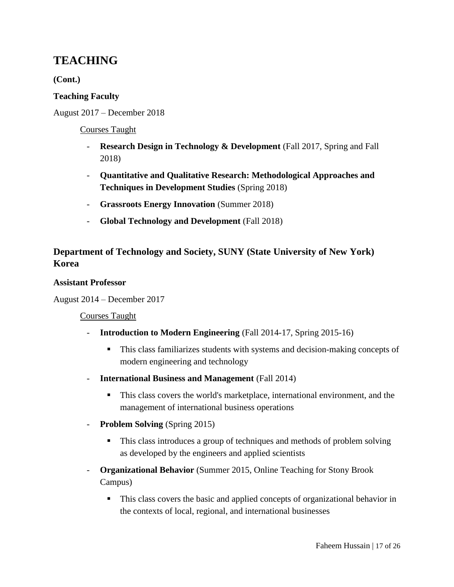**(Cont.)**

### **Teaching Faculty**

August 2017 – December 2018

### Courses Taught

- **Research Design in Technology & Development** (Fall 2017, Spring and Fall 2018)
- **Quantitative and Qualitative Research: Methodological Approaches and Techniques in Development Studies** (Spring 2018)
- **Grassroots Energy Innovation** (Summer 2018)
- **Global Technology and Development** (Fall 2018)

# **Department of Technology and Society, SUNY (State University of New York) Korea**

#### **Assistant Professor**

August 2014 – December 2017

### Courses Taught

- **Introduction to Modern Engineering** (Fall 2014-17, Spring 2015-16)
	- This class familiarizes students with systems and decision-making concepts of modern engineering and technology
- **International Business and Management** (Fall 2014)
	- This class covers the world's marketplace, international environment, and the management of international business operations
- **Problem Solving** (Spring 2015)
	- This class introduces a group of techniques and methods of problem solving as developed by the engineers and applied scientists
- **Organizational Behavior** (Summer 2015, Online Teaching for Stony Brook Campus)
	- This class covers the basic and applied concepts of organizational behavior in the contexts of local, regional, and international businesses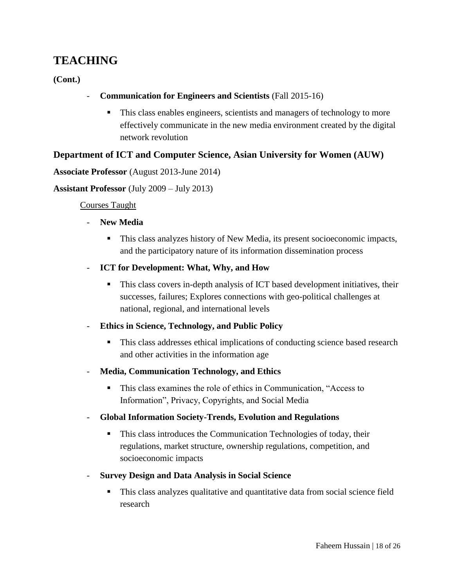**(Cont.)**

- **Communication for Engineers and Scientists** (Fall 2015-16)
	- This class enables engineers, scientists and managers of technology to more effectively communicate in the new media environment created by the digital network revolution

## **Department of ICT and Computer Science, Asian University for Women (AUW)**

#### **Associate Professor** (August 2013-June 2014)

**Assistant Professor** (July 2009 – July 2013)

#### Courses Taught

#### New Media

- This class analyzes history of New Media, its present socioeconomic impacts, and the participatory nature of its information dissemination process
- **ICT for Development: What, Why, and How** 
	- This class covers in-depth analysis of ICT based development initiatives, their successes, failures; Explores connections with geo-political challenges at national, regional, and international levels

### - **Ethics in Science, Technology, and Public Policy**

- **This class addresses ethical implications of conducting science based research** and other activities in the information age
- **Media, Communication Technology, and Ethics**
	- This class examines the role of ethics in Communication, "Access to Information", Privacy, Copyrights, and Social Media
- **Global Information Society-Trends, Evolution and Regulations**
	- **This class introduces the Communication Technologies of today, their** regulations, market structure, ownership regulations, competition, and socioeconomic impacts
- **Survey Design and Data Analysis in Social Science**
	- This class analyzes qualitative and quantitative data from social science field research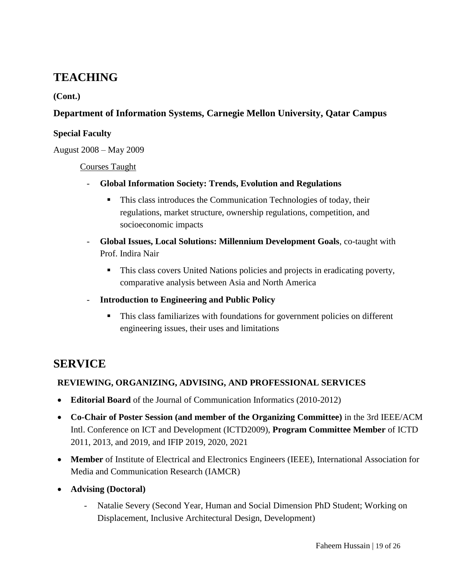## **(Cont.)**

# **Department of Information Systems, Carnegie Mellon University, Qatar Campus**

### **Special Faculty**

August 2008 – May 2009

#### Courses Taught

- **Global Information Society: Trends, Evolution and Regulations**
	- This class introduces the Communication Technologies of today, their regulations, market structure, ownership regulations, competition, and socioeconomic impacts
- **Global Issues, Local Solutions: Millennium Development Goals**, co-taught with Prof. Indira Nair
	- This class covers United Nations policies and projects in eradicating poverty, comparative analysis between Asia and North America
- **Introduction to Engineering and Public Policy**
	- This class familiarizes with foundations for government policies on different engineering issues, their uses and limitations

# **SERVICE**

# **REVIEWING, ORGANIZING, ADVISING, AND PROFESSIONAL SERVICES**

- **Editorial Board** of the Journal of Communication Informatics (2010-2012)
- **Co-Chair of Poster Session (and member of the Organizing Committee)** in the 3rd IEEE/ACM Intl. Conference on ICT and Development (ICTD2009), **Program Committee Member** of ICTD 2011, 2013, and 2019, and IFIP 2019, 2020, 2021
- **Member** of Institute of Electrical and Electronics Engineers (IEEE), International Association for Media and Communication Research (IAMCR)
- **Advising (Doctoral)**
	- Natalie Severy (Second Year, Human and Social Dimension PhD Student; Working on Displacement, Inclusive Architectural Design, Development)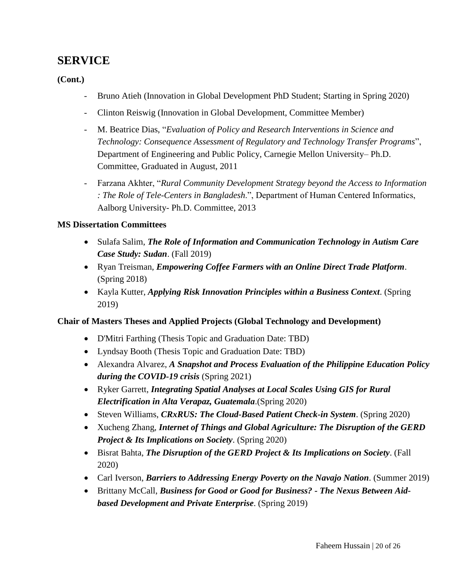**(Cont.)**

- Bruno Atieh (Innovation in Global Development PhD Student; Starting in Spring 2020)
- Clinton Reiswig (Innovation in Global Development, Committee Member)
- M. Beatrice Dias, "*Evaluation of Policy and Research Interventions in Science and Technology: Consequence Assessment of Regulatory and Technology Transfer Programs*", Department of Engineering and Public Policy, Carnegie Mellon University– Ph.D. Committee, Graduated in August, 2011
- Farzana Akhter, "*Rural Community Development Strategy beyond the Access to Information : The Role of Tele-Centers in Bangladesh*.", Department of Human Centered Informatics, Aalborg University- Ph.D. Committee, 2013

## **MS Dissertation Committees**

- Sulafa Salim, *The Role of Information and Communication Technology in Autism Care Case Study: Sudan*. (Fall 2019)
- Ryan Treisman, *Empowering Coffee Farmers with an Online Direct Trade Platform*. (Spring 2018)
- Kayla Kutter, *Applying Risk Innovation Principles within a Business Context*. (Spring 2019)

### **Chair of Masters Theses and Applied Projects (Global Technology and Development)**

- D'Mitri Farthing (Thesis Topic and Graduation Date: TBD)
- Lyndsay Booth (Thesis Topic and Graduation Date: TBD)
- Alexandra Alvarez, *A Snapshot and Process Evaluation of the Philippine Education Policy during the COVID-19 crisis* (Spring 2021)
- Ryker Garrett, *Integrating Spatial Analyses at Local Scales Using GIS for Rural Electrification in Alta Verapaz, Guatemala*.(Spring 2020)
- Steven Williams, *CRxRUS: The Cloud-Based Patient Check-in System*. (Spring 2020)
- Xucheng Zhang, *Internet of Things and Global Agriculture: The Disruption of the GERD Project & Its Implications on Society*. (Spring 2020)
- Bisrat Bahta, *The Disruption of the GERD Project & Its Implications on Society*. (Fall 2020)
- Carl Iverson, *Barriers to Addressing Energy Poverty on the Navajo Nation*. (Summer 2019)
- Brittany McCall, *Business for Good or Good for Business? - The Nexus Between Aidbased Development and Private Enterprise*. (Spring 2019)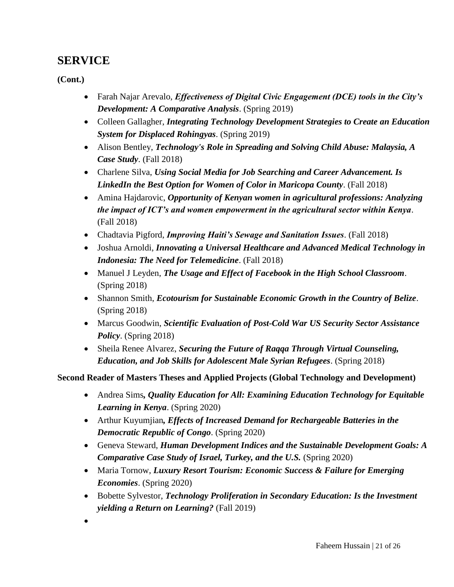**(Cont.)**

- Farah Najar Arevalo, *Effectiveness of Digital Civic Engagement (DCE) tools in the City's Development: A Comparative Analysis*. (Spring 2019)
- Colleen Gallagher, *Integrating Technology Development Strategies to Create an Education System for Displaced Rohingyas*. (Spring 2019)
- Alison Bentley, *Technology's Role in Spreading and Solving Child Abuse: Malaysia, A Case Study*. (Fall 2018)
- Charlene Silva, *Using Social Media for Job Searching and Career Advancement. Is LinkedIn the Best Option for Women of Color in Maricopa County*. (Fall 2018)
- Amina Hajdarovic, *Opportunity of Kenyan women in agricultural professions: Analyzing the impact of ICT's and women empowerment in the agricultural sector within Kenya*. (Fall 2018)
- Chadtavia Pigford, *Improving Haiti's Sewage and Sanitation Issues*. (Fall 2018)
- Joshua Arnoldi, *Innovating a Universal Healthcare and Advanced Medical Technology in Indonesia: The Need for Telemedicine*. (Fall 2018)
- Manuel J Leyden, *The Usage and Effect of Facebook in the High School Classroom*. (Spring 2018)
- Shannon Smith, *Ecotourism for Sustainable Economic Growth in the Country of Belize*. (Spring 2018)
- Marcus Goodwin, *Scientific Evaluation of Post-Cold War US Security Sector Assistance Policy*. (Spring 2018)
- Sheila Renee Alvarez, *Securing the Future of Raqqa Through Virtual Counseling, Education, and Job Skills for Adolescent Male Syrian Refugees*. (Spring 2018)

# **Second Reader of Masters Theses and Applied Projects (Global Technology and Development)**

- Andrea Sims*, Quality Education for All: Examining Education Technology for Equitable Learning in Kenya*. (Spring 2020)
- Arthur Kuyumjian*, Effects of Increased Demand for Rechargeable Batteries in the Democratic Republic of Congo*. (Spring 2020)
- Geneva Steward, *Human Development Indices and the Sustainable Development Goals: A Comparative Case Study of Israel, Turkey, and the U.S.* (Spring 2020)
- Maria Tornow, *Luxury Resort Tourism: Economic Success & Failure for Emerging Economies*. (Spring 2020)
- Bobette Sylvestor, *Technology Proliferation in Secondary Education: Is the Investment yielding a Return on Learning?* (Fall 2019)
- $\bullet$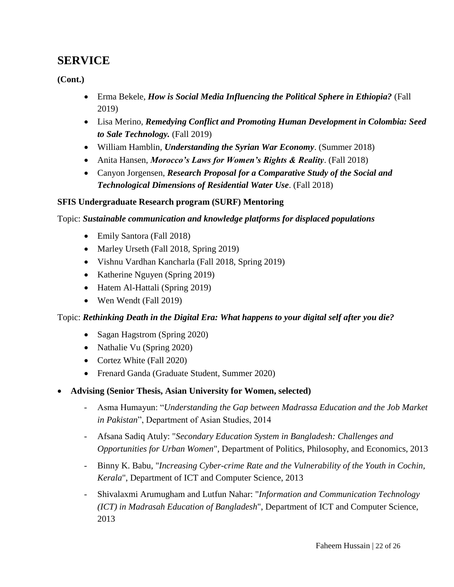**(Cont.)**

- Erma Bekele, *How is Social Media Influencing the Political Sphere in Ethiopia?* (Fall 2019)
- Lisa Merino, *Remedying Conflict and Promoting Human Development in Colombia: Seed to Sale Technology.* (Fall 2019)
- William Hamblin, *Understanding the Syrian War Economy*. (Summer 2018)
- Anita Hansen, *Morocco's Laws for Women's Rights & Reality*. (Fall 2018)
- Canyon Jorgensen, *Research Proposal for a Comparative Study of the Social and Technological Dimensions of Residential Water Use*. (Fall 2018)

### **SFIS Undergraduate Research program (SURF) Mentoring**

Topic: *Sustainable communication and knowledge platforms for displaced populations*

- Emily Santora (Fall 2018)
- Marley Urseth (Fall 2018, Spring 2019)
- Vishnu Vardhan Kancharla (Fall 2018, Spring 2019)
- Katherine Nguyen (Spring 2019)
- Hatem Al-Hattali (Spring 2019)
- Wen Wendt (Fall 2019)

### Topic: *Rethinking Death in the Digital Era: What happens to your digital self after you die?*

- Sagan Hagstrom (Spring 2020)
- Nathalie Vu (Spring 2020)
- Cortez White (Fall 2020)
- Frenard Ganda (Graduate Student, Summer 2020)
- **Advising (Senior Thesis, Asian University for Women, selected)**
	- Asma Humayun: "*Understanding the Gap between Madrassa Education and the Job Market in Pakistan*", Department of Asian Studies, 2014
	- Afsana Sadiq Atuly: "*Secondary Education System in Bangladesh: Challenges and Opportunities for Urban Women*", Department of Politics, Philosophy, and Economics, 2013
	- Binny K. Babu, "*Increasing Cyber-crime Rate and the Vulnerability of the Youth in Cochin, Kerala*", Department of ICT and Computer Science, 2013
	- Shivalaxmi Arumugham and Lutfun Nahar: "*Information and Communication Technology (ICT) in Madrasah Education of Bangladesh*", Department of ICT and Computer Science, 2013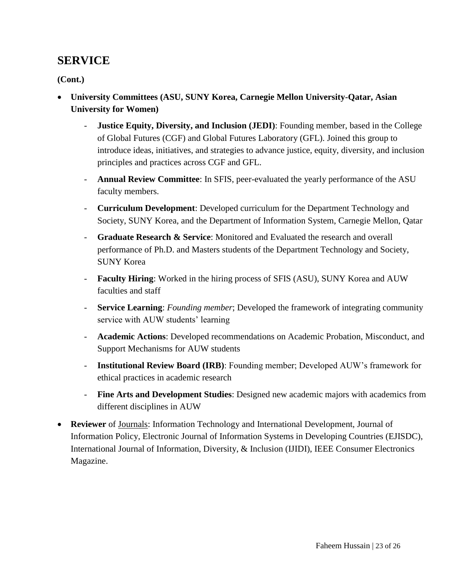- **University Committees (ASU, SUNY Korea, Carnegie Mellon University-Qatar, Asian University for Women)**
	- **Justice Equity, Diversity, and Inclusion (JEDI)**: Founding member, based in the College of Global Futures (CGF) and Global Futures Laboratory (GFL). Joined this group to introduce ideas, initiatives, and strategies to advance justice, equity, diversity, and inclusion principles and practices across CGF and GFL.
	- Annual Review Committee: In SFIS, peer-evaluated the yearly performance of the ASU faculty members.
	- **Curriculum Development**: Developed curriculum for the Department Technology and Society, SUNY Korea, and the Department of Information System, Carnegie Mellon, Qatar
	- Graduate Research & Service: Monitored and Evaluated the research and overall performance of Ph.D. and Masters students of the Department Technology and Society, SUNY Korea
	- **Faculty Hiring**: Worked in the hiring process of SFIS (ASU), SUNY Korea and AUW faculties and staff
	- **Service Learning**: *Founding member*; Developed the framework of integrating community service with AUW students' learning
	- **Academic Actions**: Developed recommendations on Academic Probation, Misconduct, and Support Mechanisms for AUW students
	- **Institutional Review Board (IRB):** Founding member; Developed AUW's framework for ethical practices in academic research
	- **Fine Arts and Development Studies**: Designed new academic majors with academics from different disciplines in AUW
- **Reviewer** of Journals: Information Technology and International Development, Journal of Information Policy, Electronic Journal of Information Systems in Developing Countries (EJISDC), International Journal of Information, Diversity, & Inclusion (IJIDI), IEEE Consumer Electronics Magazine.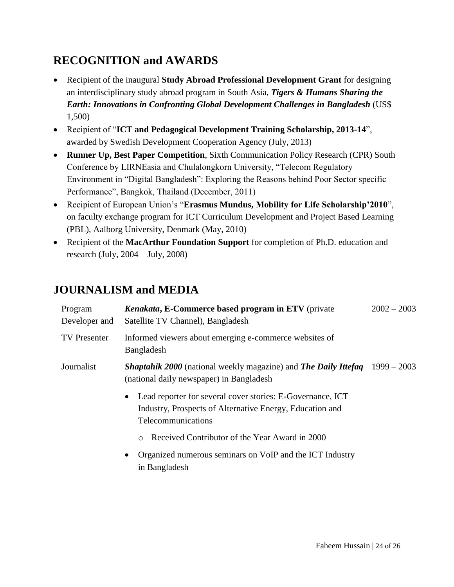# **RECOGNITION and AWARDS**

- Recipient of the inaugural **Study Abroad Professional Development Grant** for designing an interdisciplinary study abroad program in South Asia, *Tigers & Humans Sharing the Earth: Innovations in Confronting Global Development Challenges in Bangladesh* (US\$ 1,500)
- Recipient of "**ICT and Pedagogical Development Training Scholarship, 2013-14**", awarded by Swedish Development Cooperation Agency (July, 2013)
- **Runner Up, Best Paper Competition**, Sixth Communication Policy Research (CPR) South Conference by LIRNEasia and Chulalongkorn University, "Telecom Regulatory Environment in "Digital Bangladesh": Exploring the Reasons behind Poor Sector specific Performance", Bangkok, Thailand (December, 2011)
- Recipient of European Union's "**Erasmus Mundus, Mobility for Life Scholarship'2010**", on faculty exchange program for ICT Curriculum Development and Project Based Learning (PBL), Aalborg University, Denmark (May, 2010)
- Recipient of the **MacArthur Foundation Support** for completion of Ph.D. education and research (July, 2004 – July, 2008)

# **JOURNALISM and MEDIA**

| Program<br>Developer and | Kenakata, E-Commerce based program in ETV (private<br>Satellite TV Channel), Bangladesh                                                      | $2002 - 2003$ |
|--------------------------|----------------------------------------------------------------------------------------------------------------------------------------------|---------------|
| <b>TV</b> Presenter      | Informed viewers about emerging e-commerce websites of<br>Bangladesh                                                                         |               |
| Journalist               | <b>Shaptahik 2000</b> (national weekly magazine) and <b>The Daily Ittefaq</b> 1999 – 2003<br>(national daily newspaper) in Bangladesh        |               |
|                          | Lead reporter for several cover stories: E-Governance, ICT<br>Industry, Prospects of Alternative Energy, Education and<br>Telecommunications |               |
|                          | Received Contributor of the Year Award in 2000<br>$\circ$                                                                                    |               |
|                          | Organized numerous seminars on VoIP and the ICT Industry<br>$\bullet$<br>in Bangladesh                                                       |               |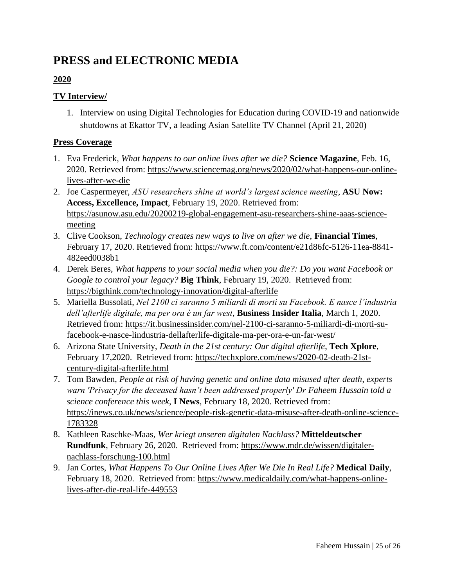# **PRESS and ELECTRONIC MEDIA**

# **2020**

# **TV Interview/**

1. Interview on using Digital Technologies for Education during COVID-19 and nationwide shutdowns at Ekattor TV, a leading Asian Satellite TV Channel (April 21, 2020)

# **Press Coverage**

- 1. Eva Frederick, *What happens to our online lives after we die?* **Science Magazine**, Feb. 16, 2020. Retrieved from: [https://www.sciencemag.org/news/2020/02/what-happens-our-online](https://www.sciencemag.org/news/2020/02/what-happens-our-online-lives-after-we-die)[lives-after-we-die](https://www.sciencemag.org/news/2020/02/what-happens-our-online-lives-after-we-die)
- 2. Joe Caspermeyer, *ASU researchers shine at world's largest science meeting*, **ASU Now: Access, Excellence, Impact**, February 19, 2020. Retrieved from: [https://asunow.asu.edu/20200219-global-engagement-asu-researchers-shine-aaas-science](https://asunow.asu.edu/20200219-global-engagement-asu-researchers-shine-aaas-science-meeting)[meeting](https://asunow.asu.edu/20200219-global-engagement-asu-researchers-shine-aaas-science-meeting)
- 3. Clive Cookson, *Technology creates new ways to live on after we die*, **Financial Times**, February 17, 2020. Retrieved from: [https://www.ft.com/content/e21d86fc-5126-11ea-8841-](https://www.ft.com/content/e21d86fc-5126-11ea-8841-482eed0038b1) [482eed0038b1](https://www.ft.com/content/e21d86fc-5126-11ea-8841-482eed0038b1)
- 4. Derek Beres, *What happens to your social media when you die?: Do you want Facebook or Google to control your legacy?* **Big Think**, February 19, 2020. Retrieved from: <https://bigthink.com/technology-innovation/digital-afterlife>
- 5. Mariella Bussolati, *Nel 2100 ci saranno 5 miliardi di morti su Facebook. E nasce l'industria dell'afterlife digitale, ma per ora è un far west*, **Business Insider Italia**, March 1, 2020. Retrieved from: [https://it.businessinsider.com/nel-2100-ci-saranno-5-miliardi-di-morti-su](https://it.businessinsider.com/nel-2100-ci-saranno-5-miliardi-di-morti-su-facebook-e-nasce-lindustria-dellafterlife-digitale-ma-per-ora-e-un-far-west/)[facebook-e-nasce-lindustria-dellafterlife-digitale-ma-per-ora-e-un-far-west/](https://it.businessinsider.com/nel-2100-ci-saranno-5-miliardi-di-morti-su-facebook-e-nasce-lindustria-dellafterlife-digitale-ma-per-ora-e-un-far-west/)
- 6. Arizona State University, *Death in the 21st century: Our digital afterlife*, **Tech Xplore**, February 17,2020. Retrieved from: [https://techxplore.com/news/2020-02-death-21st](https://techxplore.com/news/2020-02-death-21st-century-digital-afterlife.html)[century-digital-afterlife.html](https://techxplore.com/news/2020-02-death-21st-century-digital-afterlife.html)
- 7. Tom Bawden, *People at risk of having genetic and online data misused after death, experts warn 'Privacy for the deceased hasn't been addressed properly' Dr Faheem Hussain told a science conference this week*, **I News**, February 18, 2020. Retrieved from: [https://inews.co.uk/news/science/people-risk-genetic-data-misuse-after-death-online-science-](https://inews.co.uk/news/science/people-risk-genetic-data-misuse-after-death-online-science-1783328)[1783328](https://inews.co.uk/news/science/people-risk-genetic-data-misuse-after-death-online-science-1783328)
- 8. Kathleen Raschke-Maas, *Wer kriegt unseren digitalen Nachlass?* **Mitteldeutscher Rundfunk**, February 26, 2020. Retrieved from: [https://www.mdr.de/wissen/digitaler](https://www.mdr.de/wissen/digitaler-nachlass-forschung-100.html)[nachlass-forschung-100.html](https://www.mdr.de/wissen/digitaler-nachlass-forschung-100.html)
- 9. Jan Cortes, *What Happens To Our Online Lives After We Die In Real Life?* **Medical Daily**, February 18, 2020. Retrieved from: [https://www.medicaldaily.com/what-happens-online](https://www.medicaldaily.com/what-happens-online-lives-after-die-real-life-449553)[lives-after-die-real-life-449553](https://www.medicaldaily.com/what-happens-online-lives-after-die-real-life-449553)